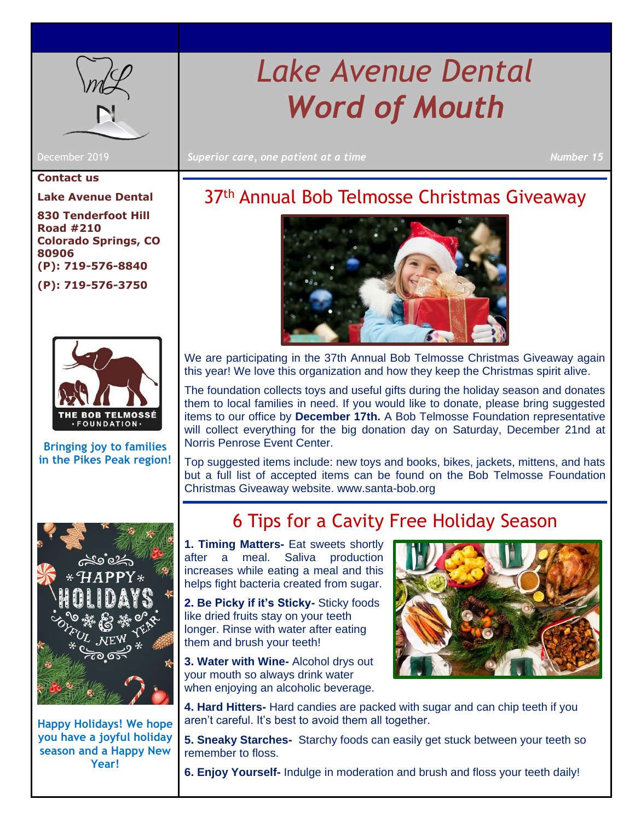

**Contact us**

**Lake Avenue Dental**

**830 Tenderfoot Hill Road #210 Colorado Springs, CO 80906 (P): 719-576-8840 (P): 719-576-3750**



**Bringing joy to families in the Pikes Peak region!**



**Happy Holidays! We hope you have a joyful holiday season and a Happy New Year!** 

# *Lake Avenue Dental Word of Mouth*

December 2019 **Superior care, one patient at a time** Number 15<sup>15</sup>

# 37<sup>th</sup> Annual Bob Telmosse Christmas Giveaway



We are participating in the 37th Annual Bob Telmosse Christmas Giveaway again this year! We love this organization and how they keep the Christmas spirit alive.

The foundation collects toys and useful gifts during the holiday season and donates them to local families in need. If you would like to donate, please bring suggested items to our office by **December 17th.** A Bob Telmosse Foundation representative will collect everything for the big donation day on Saturday, December 21nd at Norris Penrose Event Center.

Top suggested items include: new toys and books, bikes, jackets, mittens, and hats but a full list of accepted items can be found on the Bob Telmosse Foundation Christmas Giveaway website. www.santa-bob.org

### 6 Tips for a Cavity Free Holiday Season

**1. Timing Matters-** Eat sweets shortly after a meal. Saliva production increases while eating a meal and this helps fight bacteria created from sugar.

**2. Be Picky if it's Sticky-** Sticky foods like dried fruits stay on your teeth longer. Rinse with water after eating them and brush your teeth!

**3. Water with Wine-** Alcohol drys out your mouth so always drink water when enjoying an alcoholic beverage.



**4. Hard Hitters-** Hard candies are packed with sugar and can chip teeth if you aren't careful. It's best to avoid them all together.

**5. Sneaky Starches-** Starchy foods can easily get stuck between your teeth so remember to floss.

**6. Enjoy Yourself-** Indulge in moderation and brush and floss your teeth daily!